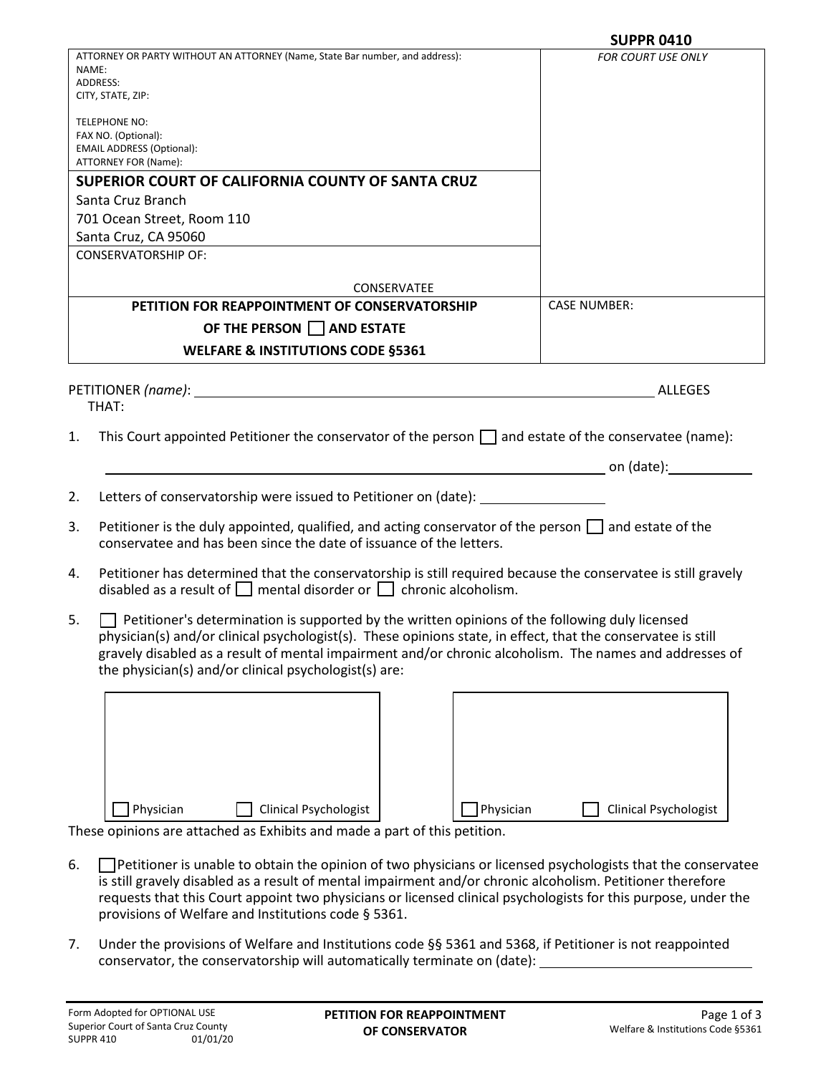|                            |                                                                                                                                                                                                                                                                                                                                                                                           | <b>SUPPR 0410</b>         |
|----------------------------|-------------------------------------------------------------------------------------------------------------------------------------------------------------------------------------------------------------------------------------------------------------------------------------------------------------------------------------------------------------------------------------------|---------------------------|
| NAME:                      | ATTORNEY OR PARTY WITHOUT AN ATTORNEY (Name, State Bar number, and address):<br>ADDRESS:                                                                                                                                                                                                                                                                                                  | <b>FOR COURT USE ONLY</b> |
|                            | CITY, STATE, ZIP:                                                                                                                                                                                                                                                                                                                                                                         |                           |
|                            | TELEPHONE NO:                                                                                                                                                                                                                                                                                                                                                                             |                           |
|                            | FAX NO. (Optional):<br><b>EMAIL ADDRESS (Optional):</b>                                                                                                                                                                                                                                                                                                                                   |                           |
|                            | ATTORNEY FOR (Name):                                                                                                                                                                                                                                                                                                                                                                      |                           |
|                            | SUPERIOR COURT OF CALIFORNIA COUNTY OF SANTA CRUZ                                                                                                                                                                                                                                                                                                                                         |                           |
|                            | Santa Cruz Branch                                                                                                                                                                                                                                                                                                                                                                         |                           |
|                            | 701 Ocean Street, Room 110                                                                                                                                                                                                                                                                                                                                                                |                           |
|                            | Santa Cruz, CA 95060                                                                                                                                                                                                                                                                                                                                                                      |                           |
|                            | <b>CONSERVATORSHIP OF:</b>                                                                                                                                                                                                                                                                                                                                                                |                           |
|                            | CONSERVATEE                                                                                                                                                                                                                                                                                                                                                                               |                           |
|                            | PETITION FOR REAPPOINTMENT OF CONSERVATORSHIP                                                                                                                                                                                                                                                                                                                                             | <b>CASE NUMBER:</b>       |
|                            | OF THE PERSON AND ESTATE                                                                                                                                                                                                                                                                                                                                                                  |                           |
|                            | <b>WELFARE &amp; INSTITUTIONS CODE §5361</b>                                                                                                                                                                                                                                                                                                                                              |                           |
|                            |                                                                                                                                                                                                                                                                                                                                                                                           |                           |
|                            |                                                                                                                                                                                                                                                                                                                                                                                           |                           |
|                            | THAT:                                                                                                                                                                                                                                                                                                                                                                                     | ALLEGES                   |
|                            | This Court appointed Petitioner the conservator of the person $\Box$ and estate of the conservatee (name):                                                                                                                                                                                                                                                                                |                           |
|                            |                                                                                                                                                                                                                                                                                                                                                                                           |                           |
|                            | Letters of conservatorship were issued to Petitioner on (date): ________________                                                                                                                                                                                                                                                                                                          |                           |
|                            | Petitioner is the duly appointed, qualified, and acting conservator of the person $\Box$ and estate of the<br>conservatee and has been since the date of issuance of the letters.                                                                                                                                                                                                         |                           |
|                            | Petitioner has determined that the conservatorship is still required because the conservatee is still gravely<br>disabled as a result of $\Box$ mental disorder or $\Box$ chronic alcoholism.                                                                                                                                                                                             |                           |
|                            | $\Box$ Petitioner's determination is supported by the written opinions of the following duly licensed<br>physician(s) and/or clinical psychologist(s). These opinions state, in effect, that the conservatee is still<br>gravely disabled as a result of mental impairment and/or chronic alcoholism. The names and addresses of<br>the physician(s) and/or clinical psychologist(s) are: |                           |
|                            |                                                                                                                                                                                                                                                                                                                                                                                           |                           |
| 1.<br>2.<br>3.<br>4.<br>5. |                                                                                                                                                                                                                                                                                                                                                                                           |                           |
|                            |                                                                                                                                                                                                                                                                                                                                                                                           |                           |
|                            |                                                                                                                                                                                                                                                                                                                                                                                           |                           |
|                            |                                                                                                                                                                                                                                                                                                                                                                                           |                           |

These opinions are attached as Exhibits and made a part of this petition.

6. Petitioner is unable to obtain the opinion of two physicians or licensed psychologists that the conservatee is still gravely disabled as a result of mental impairment and/or chronic alcoholism. Petitioner therefore requests that this Court appoint two physicians or licensed clinical psychologists for this purpose, under the provisions of Welfare and Institutions code § 5361.

Physician Clinical Psychologist Physician Clinical Psychologist

7. Under the provisions of Welfare and Institutions code §§ 5361 and 5368, if Petitioner is not reappointed conservator, the conservatorship will automatically terminate on (date):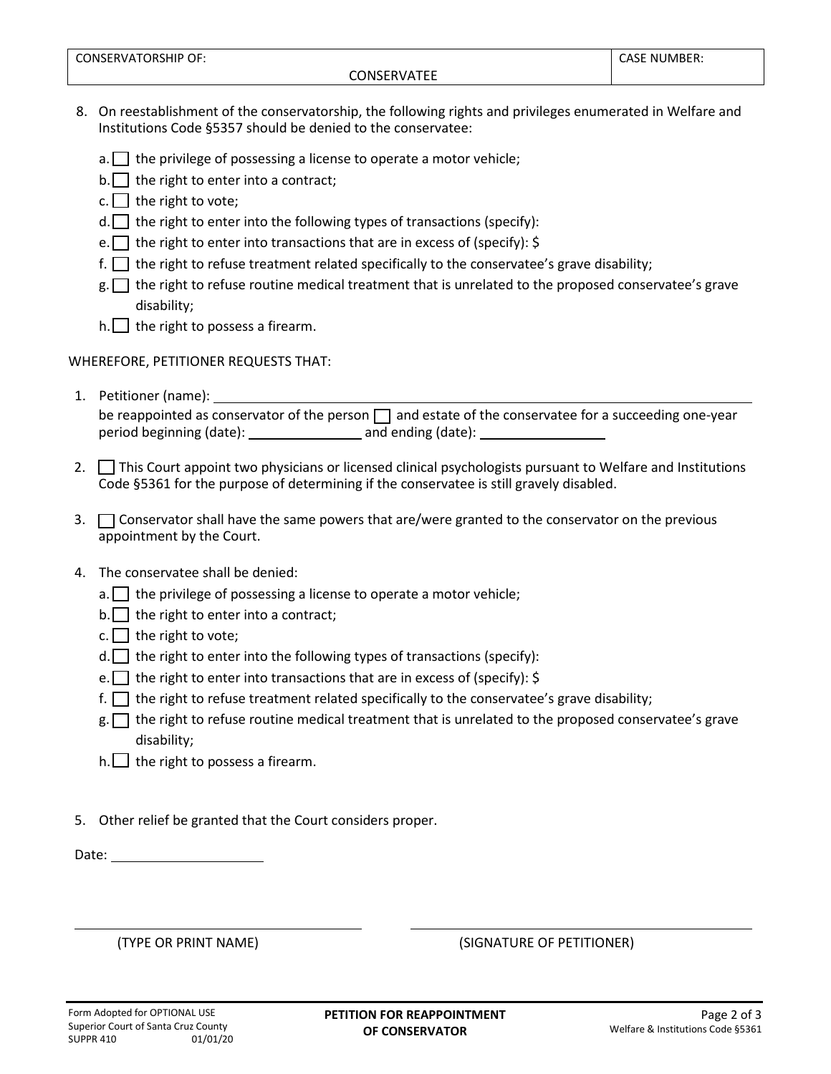- 8. On reestablishment of the conservatorship, the following rights and privileges enumerated in Welfare and Institutions Code §5357 should be denied to the conservatee:
	- $a.$  the privilege of possessing a license to operate a motor vehicle;
	- $b.$  the right to enter into a contract;
	- c.  $\Box$  the right to vote;
	- $d.$  the right to enter into the following types of transactions (specify):
	- e. the right to enter into transactions that are in excess of (specify):  $\zeta$
	- f.  $\Box$  the right to refuse treatment related specifically to the conservatee's grave disability;
	- $g.$  the right to refuse routine medical treatment that is unrelated to the proposed conservatee's grave disability;
	- $h.$  the right to possess a firearm.

WHEREFORE, PETITIONER REQUESTS THAT:

- 1. Petitioner (name): be reappointed as conservator of the person  $\Box$  and estate of the conservatee for a succeeding one-year period beginning (date): and ending (date):
- 2. This Court appoint two physicians or licensed clinical psychologists pursuant to Welfare and Institutions Code §5361 for the purpose of determining if the conservatee is still gravely disabled.
- 3.  $\Box$  Conservator shall have the same powers that are/were granted to the conservator on the previous appointment by the Court.
- 4. The conservatee shall be denied:
	- $a.$  the privilege of possessing a license to operate a motor vehicle;
	- $b.\n\Box$  the right to enter into a contract;
	- c.  $\Box$  the right to vote;
	- $d.$  the right to enter into the following types of transactions (specify):
	- e. the right to enter into transactions that are in excess of (specify):  $\zeta$
	- f.  $\Box$  the right to refuse treatment related specifically to the conservatee's grave disability;
	- $g.$  the right to refuse routine medical treatment that is unrelated to the proposed conservatee's grave disability;
	- $h.$  the right to possess a firearm.

5. Other relief be granted that the Court considers proper.

Date:

 $\overline{a}$ 

(TYPE OR PRINT NAME) (SIGNATURE OF PETITIONER)